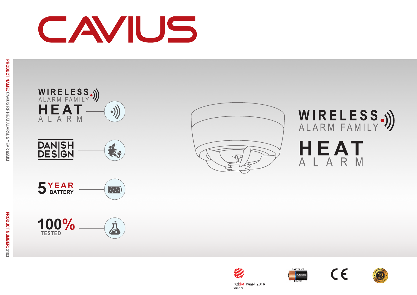# CAVIUS













WIRELESS.))

HEAT



reddot award 2016 winner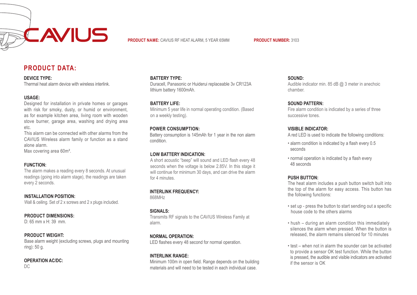

**PRODUCT NAME:** CAVIUS RF HEAT ALARM, 5 YEAR 65MM **PRODUCT NUMBER:** 3103

## **PRODUCT DATA:**

#### **DEVICE TYPE:**

Thermal heat alarm device with wireless interlink.

#### **USAGE:**

Designed for installation in private homes or garages with risk for smoky, dusty, or humid or environment, as for example kitchen area, living room with wooden stove burner, garage area, washing and drying area etc.

This alarm can be connected with other alarms from the CAVIUS Wireless alarm family or function as a stand alone alarm.

Max covering area 60m².

#### **FUNCTION:**

The alarm makes a reading every 8 seconds. At unusual readings (going into alarm stage), the readings are taken every 2 seconds.

**INSTALLATION POSITION:** Wall & ceiling. Set of 2 x screws and 2 x plugs included.

#### **PRODUCT DIMENSIONS:**

D: 65 mm x H: 39 mm.

#### **PRODUCT WEIGHT:**

Base alarm weight (excluding screws, plugs and mounting ring): 50 g.

#### **OPERATION AC/DC:**

 $DC$ 

#### **BATTERY TYPE:**

Duracell, Panasonic or Huiderui replaceable 3v CR123A lithium battery 1600mAh.

#### **BATTERY LIFE:**

Minimum 5 year life in normal operating condition. (Based on a weekly testing).

#### **POWER CONSUMPTION:**

Battery consumption is 145mAh for 1 year in the non alarm condition.

#### **LOW BATTERY INDICATION:**

A short acoustic "beep" will sound and LED flash every 48 seconds when the voltage is below 2.85V. In this stage it will continue for minimum 30 days, and can drive the alarm for 4 minutes.

#### **INTERLINK FREQUENCY:**

868MHz

#### **SIGNALS:**

Transmits RF signals to the CAVIUS Wireless Family at alarm.

#### **NORMAL OPERATION:**

LED flashes every 48 second for normal operation.

#### **INTERLINK RANGE:**

Minimum 100m in open field. Range depends on the building materials and will need to be tested in each individual case.

**SOUND:**

Audible indicator min. 85 dB @ 3 meter in anechoic chamber.

#### **SOUND PATTERN:**

Fire alarm condition is indicated by a series of three successive tones.

#### **VISIBLE INDICATOR:**

A red LED is used to indicate the following conditions:

- alarm condition is indicated by a flash every 0.5 seconds
- normal operation is indicated by a flash every 48 seconds

#### **PUSH BUTTON:**

The heat alarm includes a push button switch built into the top of the alarm for easy access. This button has the following functions:

- set up press the button to start sending out a specific house code to the others alarms
- hush during an alarm condition this immediately silences the alarm when pressed. When the button is released, the alarm remains silenced for 10 minutes
- test when not in alarm the sounder can be activated to provide a sensor OK test function. While the button is pressed, the audible and visible indicators are activated if the sensor is OK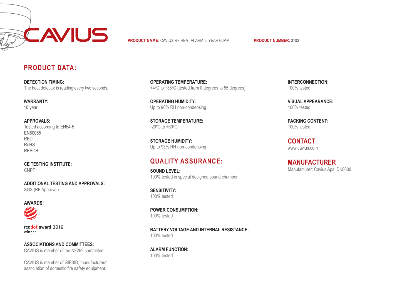

**PRODUCT NAME:** CAVIUS RF HEAT ALARM, 5 YEAR 65MM **PRODUCT NUMBER:** 3103

## **PRODUCT DATA:**

**DETECTION TIMING:** The heat detector is reading every two seconds.

**WARRANTY:** 10 year

#### **APPROVALS:** Tested according to EN54-5 EN60065 RED RoHS REACH

CNPP

**ADDITIONAL TESTING AND APPROVALS:** SGS (RF Approval)

# **AWARDS:**

reddot award 2016 winner

**ASSOCIATIONS AND COMMITTEES:** CAVIUS is member of the NF292 committee.

CAVIUS is member of GIFSID, manufacturers' association of domestic fire safety equipment.

**OPERATING TEMPERATURE:** +4ºC to +38ºC (tested from 0 degrees to 55 degrees)

**OPERATING HUMIDITY:** Up to 90% RH non-condensing

**STORAGE TEMPERATURE:** -20ºC to +60ºC

**STORAGE HUMIDITY:** Up to 93% RH non-condensing

# **QUALITY ASSURANCE: CE TESTING INSTITUTE:**

**SOUND LEVEL:** 100% tested in special designed sound chamber

**SENSITIVITY:** 100% tested

**POWER CONSUMPTION:** 100% tested

**BATTERY VOLTAGE AND INTERNAL RESISTANCE:** 100% tested

**ALARM FUNCTION:** 100% tested

**INTERCONNECTION:** 100% tested

**VISUAL APPEARANCE:** 100% tested

**PACKING CONTENT:** 100% tested

www.cavius.com **CONTACT**

Manufacturer: Cavius Aps, DK8600 **MANUFACTURER**